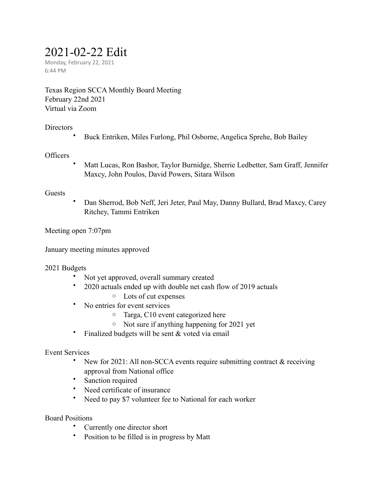# 2021-02-22 Edit

Monday, February 22, 2021 6:44 PM

Texas Region SCCA Monthly Board Meeting February 22nd 2021 Virtual via Zoom

## **Directors**

• Buck Entriken, Miles Furlong, Phil Osborne, Angelica Sprehe, Bob Bailey

## **Officers**

• Matt Lucas, Ron Bashor, Taylor Burnidge, Sherrie Ledbetter, Sam Graff, Jennifer Maxcy, John Poulos, David Powers, Sitara Wilson

## Guests

• Dan Sherrod, Bob Neff, Jeri Jeter, Paul May, Danny Bullard, Brad Maxcy, Carey Ritchey, Tammi Entriken

Meeting open 7:07pm

January meeting minutes approved

## 2021 Budgets

- Not yet approved, overall summary created
- 2020 actuals ended up with double net cash flow of 2019 actuals
	- o Lots of cut expenses
- No entries for event services
	- o Targa, C10 event categorized here
	- o Not sure if anything happening for 2021 yet
- Finalized budgets will be sent & voted via email

## Event Services

- New for 2021: All non-SCCA events require submitting contract & receiving approval from National office
- Sanction required
- Need certificate of insurance
- Need to pay \$7 volunteer fee to National for each worker

## Board Positions

- Currently one director short
- Position to be filled is in progress by Matt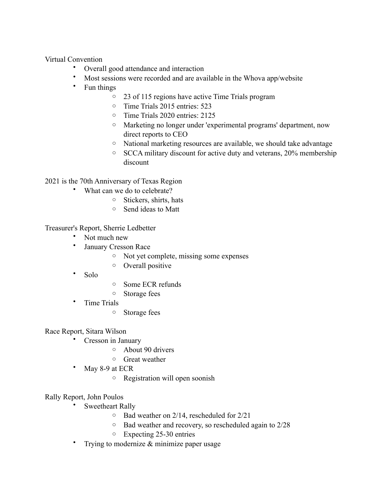Virtual Convention

- Overall good attendance and interaction
- Most sessions were recorded and are available in the Whova app/website
- Fun things
	- o 23 of 115 regions have active Time Trials program
	- o Time Trials 2015 entries: 523
	- o Time Trials 2020 entries: 2125
	- o Marketing no longer under 'experimental programs' department, now direct reports to CEO
	- o National marketing resources are available, we should take advantage
	- o SCCA military discount for active duty and veterans, 20% membership discount

2021 is the 70th Anniversary of Texas Region

- What can we do to celebrate?
	- o Stickers, shirts, hats
	- o Send ideas to Matt

Treasurer's Report, Sherrie Ledbetter

- Not much new
- January Cresson Race
	- o Not yet complete, missing some expenses
	- o Overall positive
- Solo
- o Some ECR refunds
- o Storage fees
- Time Trials
	- o Storage fees

Race Report, Sitara Wilson

- Cresson in January
	- o About 90 drivers
	- o Great weather
- May 8-9 at ECR
	- o Registration will open soonish

Rally Report, John Poulos

- Sweetheart Rally
	- o Bad weather on 2/14, rescheduled for 2/21
	- o Bad weather and recovery, so rescheduled again to 2/28
	- o Expecting 25-30 entries
- Trying to modernize  $\&$  minimize paper usage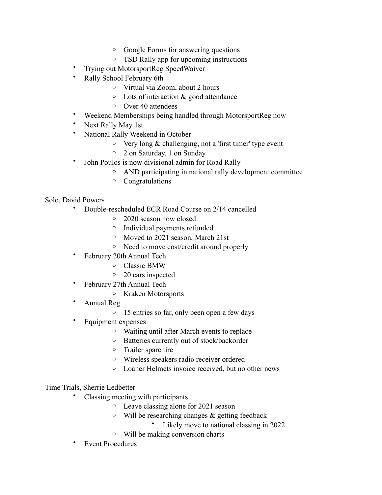- o Google Forms for answering questions
- o TSD Rally app for upcoming instructions
- Trying out MotorsportReg SpeedWaiver
- Rally School February 6th
	- o Virtual via Zoom, about 2 hours
	- o Lots of interaction & good attendance
	- o Over 40 attendees
- Weekend Memberships being handled through MotorsportReg now
- Next Rally May 1st
- National Rally Weekend in October
	- $\circ$  Very long & challenging, not a 'first timer' type event
	- o 2 on Saturday, 1 on Sunday
- John Poulos is now divisional admin for Road Rally
	- o AND participating in national rally development committee
	- o Congratulations

## Solo, David Powers

- Double-rescheduled ECR Road Course on 2/14 cancelled
	- o 2020 season now closed
	- o Individual payments refunded
	- o Moved to 2021 season, March 21st
	- o Need to move cost/credit around properly
- February 20th Annual Tech
	- o Classic BMW
	- o 20 cars inspected
- February 27th Annual Tech
	- o Kraken Motorsports
- Annual Reg
	- o 15 entries so far, only been open a few days
- Equipment expenses
	- o Waiting until after March events to replace
	- o Batteries currently out of stock/backorder
	- o Trailer spare tire
	- o Wireless speakers radio receiver ordered
	- o Loaner Helmets invoice received, but no other news

## Time Trials, Sherrie Ledbetter

- Classing meeting with participants
	- o Leave classing alone for 2021 season
	- $\circ$  Will be researching changes & getting feedback
		- Likely move to national classing in 2022
	- o Will be making conversion charts
- **Event Procedures**